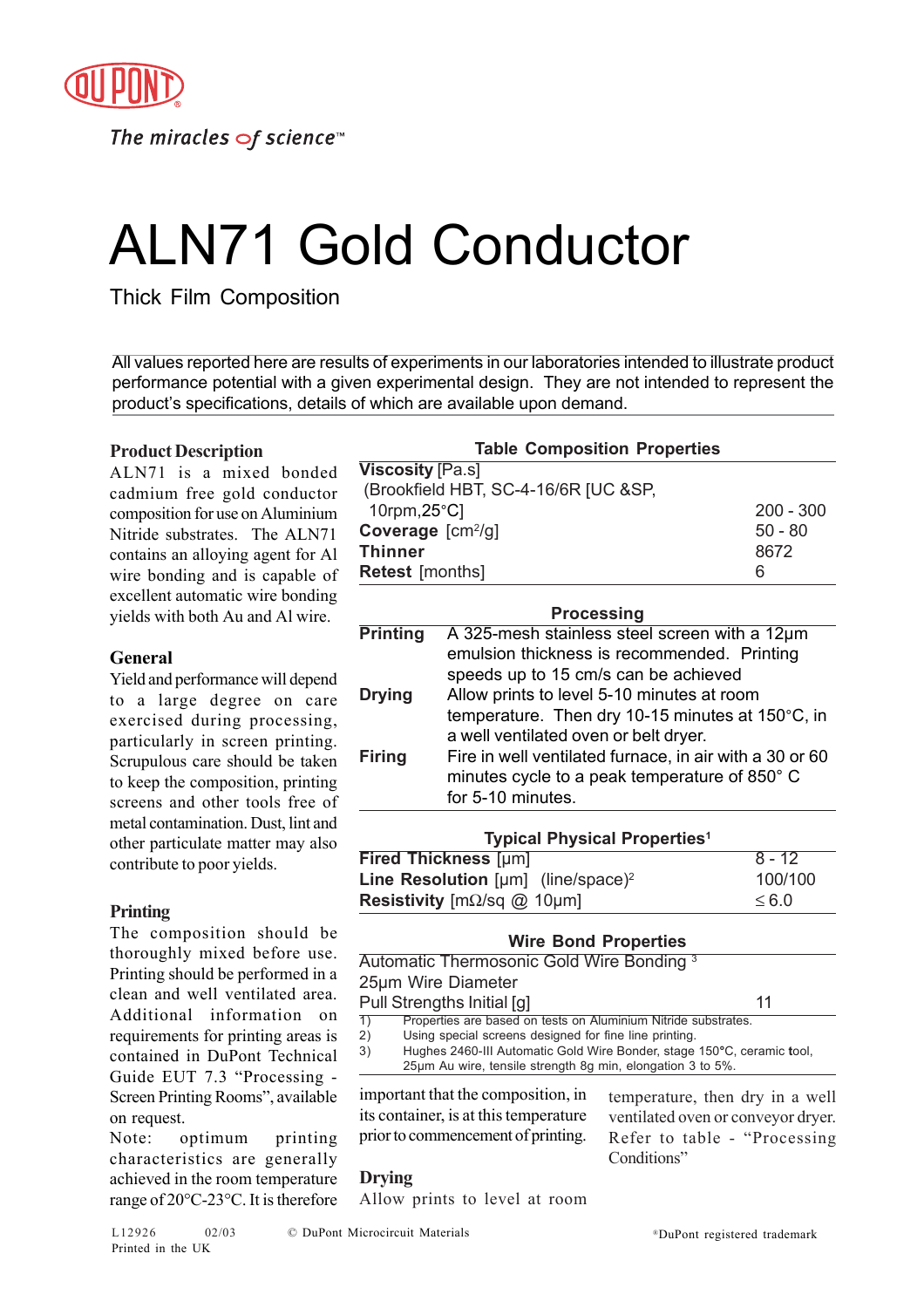

The miracles  $\sigma$ f science<sup>1</sup>

# ALN71 Gold Conductor

Thick Film Composition

All values reported here are results of experiments in our laboratories intended to illustrate product performance potential with a given experimental design. They are not intended to represent the product's specifications, details of which are available upon demand.

# **Product Description**

ALN71 is a mixed bonded cadmium free gold conductor composition for use on Aluminium Nitride substrates. The ALN71 contains an alloying agent for Al wire bonding and is capable of excellent automatic wire bonding yields with both Au and Al wire.

# **General**

Yield and performance will depend to a large degree on care exercised during processing, particularly in screen printing. Scrupulous care should be taken to keep the composition, printing screens and other tools free of metal contamination. Dust, lint and other particulate matter may also contribute to poor yields.

# **Printing**

The composition should be thoroughly mixed before use. Printing should be performed in a clean and well ventilated area. Additional information on requirements for printing areas is contained in DuPont Technical Guide EUT 7.3 "Processing - Screen Printing Rooms", available on request.

Note: optimum printing characteristics are generally achieved in the room temperature range of 20°C-23°C. It is therefore

| <b>Table Composition Properties</b>  |             |  |  |
|--------------------------------------|-------------|--|--|
| <b>Viscosity</b> [Pa.s]              |             |  |  |
| (Brookfield HBT, SC-4-16/6R [UC &SP, |             |  |  |
| 10rpm, $25^{\circ}$ C                | $200 - 300$ |  |  |
| Coverage [cm <sup>2</sup> /g]        | $50 - 80$   |  |  |
| Thinner                              | 8672        |  |  |
| <b>Retest</b> [months]               | 6           |  |  |
|                                      |             |  |  |

| <b>Processing</b> |                                                         |  |  |
|-------------------|---------------------------------------------------------|--|--|
| <b>Printing</b>   | A 325-mesh stainless steel screen with a 12µm           |  |  |
|                   | emulsion thickness is recommended. Printing             |  |  |
|                   | speeds up to 15 cm/s can be achieved                    |  |  |
| <b>Drying</b>     | Allow prints to level 5-10 minutes at room              |  |  |
|                   | temperature. Then dry 10-15 minutes at 150°C, in        |  |  |
|                   | a well ventilated oven or belt dryer.                   |  |  |
| <b>Firing</b>     | Fire in well ventilated furnace, in air with a 30 or 60 |  |  |
|                   | minutes cycle to a peak temperature of 850° C           |  |  |
|                   | for 5-10 minutes.                                       |  |  |
|                   |                                                         |  |  |

| <b>Typical Physical Properties<sup>1</sup></b>              |          |  |
|-------------------------------------------------------------|----------|--|
| <b>Fired Thickness [µm]</b>                                 | $8 - 12$ |  |
| <b>Line Resolution</b> [ $\mu$ m] (line/space) <sup>2</sup> | 100/100  |  |
| <b>Resistivity</b> $[m\Omega/sq \omega 10 \mu m]$           | < 6.0    |  |

| <b>Wire Bond Properties</b> |                                                                                                                   |                                                                                                                                                                                                        |
|-----------------------------|-------------------------------------------------------------------------------------------------------------------|--------------------------------------------------------------------------------------------------------------------------------------------------------------------------------------------------------|
|                             | Automatic Thermosonic Gold Wire Bonding <sup>3</sup>                                                              |                                                                                                                                                                                                        |
| 25µm Wire Diameter          |                                                                                                                   |                                                                                                                                                                                                        |
| Pull Strengths Initial [g]  |                                                                                                                   | 11                                                                                                                                                                                                     |
| $\overline{1)}$<br>2)<br>3) | Using special screens designed for fine line printing.                                                            | Properties are based on tests on Aluminium Nitride substrates.<br>Hughes 2460-III Automatic Gold Wire Bonder, stage 150°C, ceramic tool,<br>25µm Au wire, tensile strength 8g min, elongation 3 to 5%. |
|                             | important that the composition, in<br>its container, is at this temperature<br>prior to commencement of printing. | temperature, then dry in a well<br>ventilated oven or conveyor dryer.<br>Refer to table - "Processing"<br>Conditions"                                                                                  |

# **Drying**

Allow prints to level at room